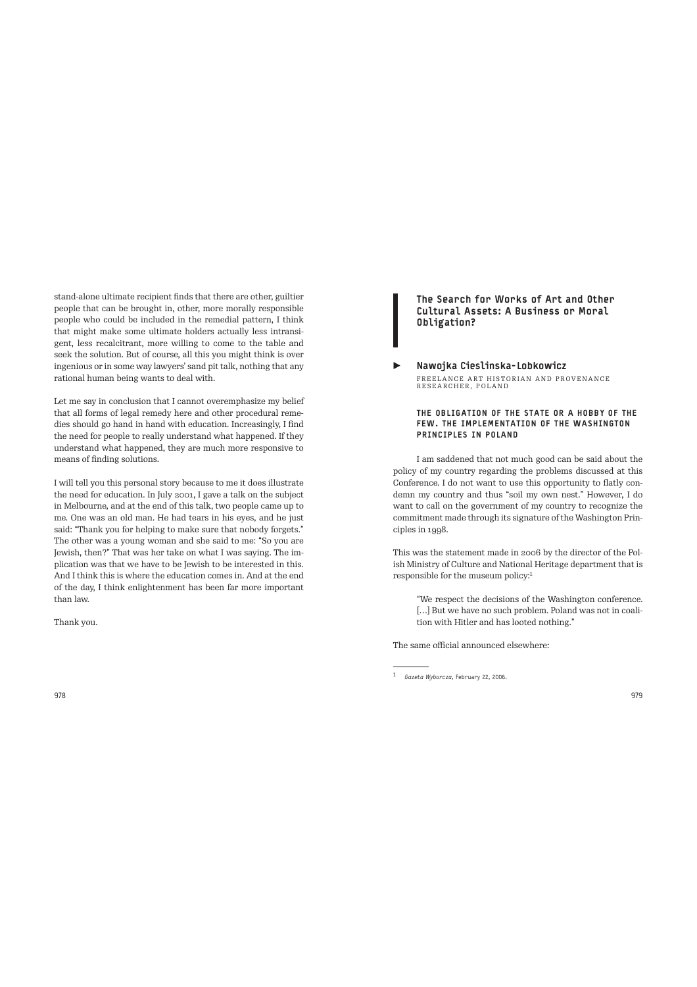stand-alone ultimate recipient finds that there are other, guiltier people that can be brought in, other, more morally responsible people who could be included in the remedial pattern, I think that might make some ultimate holders actually less intransigent, less recalcitrant, more willing to come to the table and seek the solution. But of course, all this you might think is over ingenious or in some way lawyers' sand pit talk, nothing that any rational human being wants to deal with.

Let me say in conclusion that I cannot overemphasize my belief that all forms of legal remedy here and other procedural remedies should go hand in hand with education. Increasingly, I find the need for people to really understand what happened. If they understand what happened, they are much more responsive to means of finding solutions.

I will tell you this personal story because to me it does illustrate the need for education. In July 2001, I gave a talk on the subject in Melbourne, and at the end of this talk, two people came up to me. One was an old man. He had tears in his eyes, and he just said: "Thank you for helping to make sure that nobody forgets." The other was a young woman and she said to me: "So you are Jewish, then?" That was her take on what I was saying. The implication was that we have to be Jewish to be interested in this. And I think this is where the education comes in. And at the end of the day, I think enlightenment has been far more important than law.

Thank you.

# The Search for Works of Art and Other Cultural Assets: A Business or Moral Obligation?

# ▶ Nawojka Cieslinska-Lobkowicz FREELANCE ART HISTORIAN AND PROVENANCE<br>RESEARCHER, POLAND

## THE OBLIGATION OF THE STATE OR A HOBBY OF THE FEW. THE IMPLEMENTATION OF THE WASHINGTON PRINCIPLES IN POLAND

I am saddened that not much good can be said about the policy of my country regarding the problems discussed at this Conference. I do not want to use this opportunity to flatly condemn my country and thus "soil my own nest." However, I do want to call on the government of my country to recognize the commitment made through its signature of the Washington Principles in 1998.

This was the statement made in 2006 by the director of the Polish Ministry of Culture and National Heritage department that is responsible for the museum policy:<sup>1</sup>

"We respect the decisions of the Washington conference. [...] But we have no such problem. Poland was not in coalition with Hitler and has looted nothing."

The same official announced elsewhere:

<sup>1</sup>*Gazeta Wyborcza*, February 22, 2006.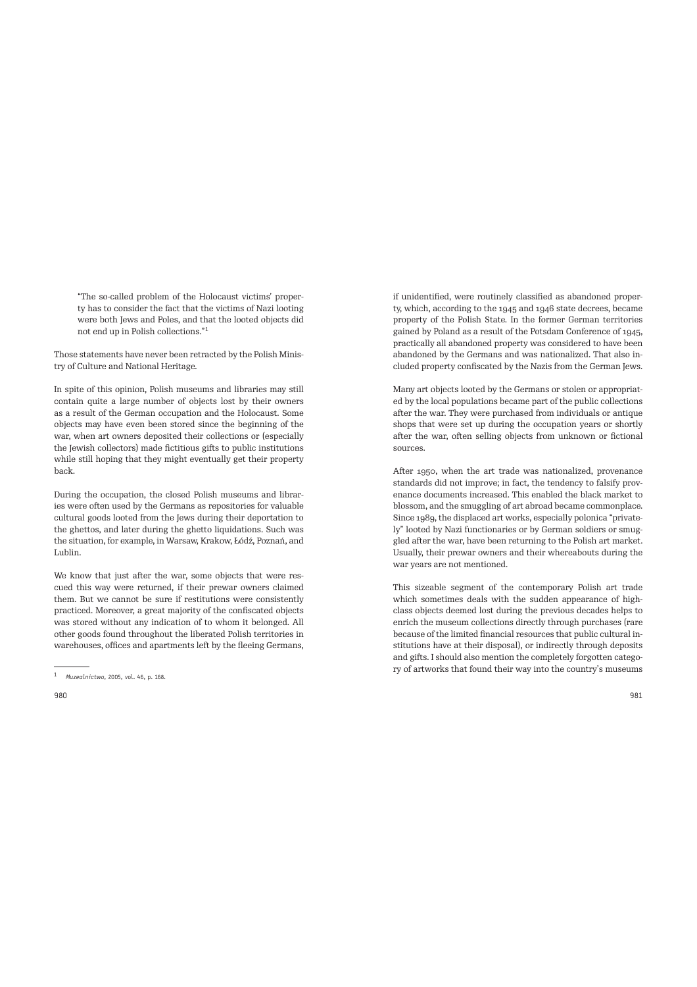"The so-called problem of the Holocaust victims' property has to consider the fact that the victims of Nazi looting were both Jews and Poles, and that the looted objects did not end up in Polish collections."<sup>1</sup>

Those statements have never been retracted by the Polish Ministry of Culture and National Heritage.

In spite of this opinion, Polish museums and libraries may still contain quite a large number of objects lost by their owners as a result of the German occupation and the Holocaust. Some objects may have even been stored since the beginning of the war, when art owners deposited their collections or (especially the Jewish collectors) made fictitious gifs to public institutions while still hoping that they might eventually get their property back.

During the occupation, the closed Polish museums and libraries were often used by the Germans as repositories for valuable cultural goods looted from the Jews during their deportation to the ghettos, and later during the ghetto liquidations. Such was the situation, for example, in Warsaw, Krakow, Łódź, Poznań, and Lublin.

We know that just after the war, some objects that were rescued this way were returned, if their prewar owners claimed them. But we cannot be sure if restitutions were consistently practiced. Moreover, a great majority of the confiscated objects was stored without any indication of to whom it belonged. All other goods found throughout the liberated Polish territories in warehouses, offices and apartments left by the fleeing Germans, if unidentified, were routinely classified as abandoned property, which, according to the 1945 and 1946 state decrees, became property of the Polish State. In the former German territories gained by Poland as a result of the Potsdam Conference of 1945, practically all abandoned property was considered to have been abandoned by the Germans and was nationalized. That also included property confiscated by the Nazis from the German Jews.

Many art objects looted by the Germans or stolen or appropriated by the local populations became part of the public collections afer the war. They were purchased from individuals or antique shops that were set up during the occupation years or shortly after the war, often selling objects from unknown or fictional sources.

Afer 1950, when the art trade was nationalized, provenance standards did not improve; in fact, the tendency to falsify provenance documents increased. This enabled the black market to blossom, and the smuggling of art abroad became commonplace. Since 1989, the displaced art works, especially polonica "privately" looted by Nazi functionaries or by German soldiers or smuggled after the war, have been returning to the Polish art market. Usually, their prewar owners and their whereabouts during the war years are not mentioned.

This sizeable segment of the contemporary Polish art trade which sometimes deals with the sudden appearance of highclass objects deemed lost during the previous decades helps to enrich the museum collections directly through purchases (rare because of the limited financial resources that public cultural institutions have at their disposal), or indirectly through deposits and gifs. I should also mention the completely forgotten category of artworks that found their way into the country's museums

<sup>1</sup>*Muzealnictwo*, 2005, vol. 46, p. 168.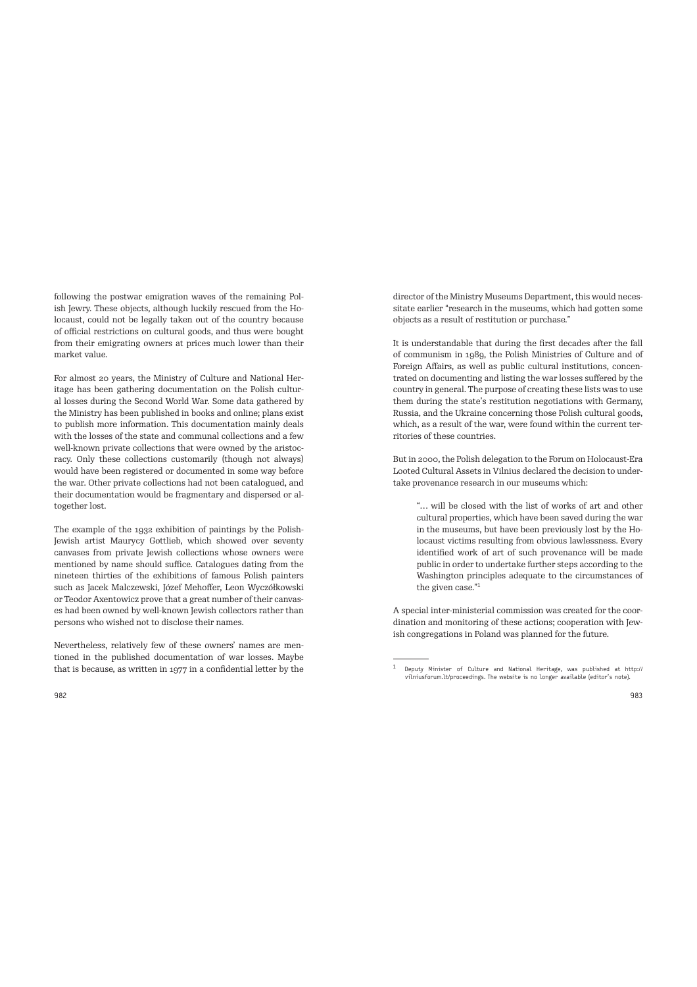following the postwar emigration waves of the remaining Polish Jewry. These objects, although luckily rescued from the Holocaust, could not be legally taken out of the country because of official restrictions on cultural goods, and thus were bought from their emigrating owners at prices much lower than their market value.

For almost 20 years, the Ministry of Culture and National Heritage has been gathering documentation on the Polish cultural losses during the Second World War. Some data gathered by the Ministry has been published in books and online; plans exist to publish more information. This documentation mainly deals with the losses of the state and communal collections and a few well-known private collections that were owned by the aristocracy. Only these collections customarily (though not always) would have been registered or documented in some way before the war. Other private collections had not been catalogued, and their documentation would be fragmentary and dispersed or altogether lost.

The example of the 1932 exhibition of paintings by the Polish-Jewish artist Maurycy Gottlieb, which showed over seventy canvases from private Jewish collections whose owners were mentioned by name should suffice. Catalogues dating from the nineteen thirties of the exhibitions of famous Polish painters such as Jacek Malczewski, Józef Mehoffer, Leon Wyczółkowski or Teodor Axentowicz prove that a great number of their canvases had been owned by well-known Jewish collectors rather than persons who wished not to disclose their names.

Nevertheless, relatively few of these owners' names are mentioned in the published documentation of war losses. Maybe that is because, as written in 1977 in a confidential letter by the director of the Ministry Museums Department, this would necessitate earlier "research in the museums, which had gotten some objects as a result of restitution or purchase."

It is understandable that during the first decades afer the fall of communism in 1989, the Polish Ministries of Culture and of Foreign Affairs, as well as public cultural institutions, concentrated on documenting and listing the war losses suffered by the country in general. The purpose of creating these lists was to use them during the state's restitution negotiations with Germany, Russia, and the Ukraine concerning those Polish cultural goods, which, as a result of the war, were found within the current territories of these countries.

But in 2000, the Polish delegation to the Forum on Holocaust-Era Looted Cultural Assets in Vilnius declared the decision to undertake provenance research in our museums which:

"… will be closed with the list of works of art and other cultural properties, which have been saved during the war in the museums, but have been previously lost by the Holocaust victims resulting from obvious lawlessness. Every identified work of art of such provenance will be made public in order to undertake further steps according to the Washington principles adequate to the circumstances of the given case."<sup>1</sup>

A special inter-ministerial commission was created for the coordination and monitoring of these actions; cooperation with Jewish congregations in Poland was planned for the future.

 $1$  Deputy Minister of Culture and National Heritage, was published at http:// vilniusforum.lt/proceedings. The website is no longer available (editor's note).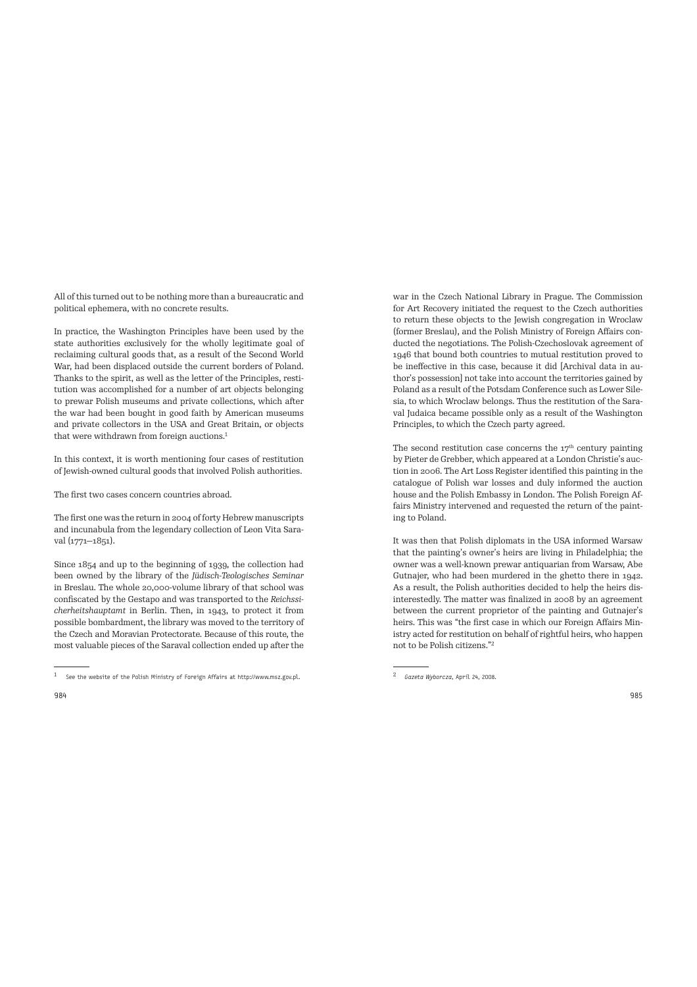All of this turned out to be nothing more than a bureaucratic and political ephemera, with no concrete results.

In practice, the Washington Principles have been used by the state authorities exclusively for the wholly legitimate goal of reclaiming cultural goods that, as a result of the Second World War, had been displaced outside the current borders of Poland. Thanks to the spirit, as well as the letter of the Principles, restitution was accomplished for a number of art objects belonging to prewar Polish museums and private collections, which afer the war had been bought in good faith by American museums and private collectors in the USA and Great Britain, or objects that were withdrawn from foreign auctions.<sup>1</sup>

In this context, it is worth mentioning four cases of restitution of Jewish-owned cultural goods that involved Polish authorities.

The first two cases concern countries abroad.

The first one was the return in 2004 of forty Hebrew manuscripts and incunabula from the legendary collection of Leon Vita Saraval (1771–1851).

Since 1854 and up to the beginning of 1939, the collection had been owned by the library of the *Jüdisch-Teologisches Seminar* in Breslau. The whole 20,000-volume library of that school was confiscated by the Gestapo and was transported to the *Reichssicherheitshauptamt* in Berlin. Then, in 1943, to protect it from possible bombardment, the library was moved to the territory of the Czech and Moravian Protectorate. Because of this route, the most valuable pieces of the Saraval collection ended up afer the

war in the Czech National Library in Prague. The Commission for Art Recovery initiated the request to the Czech authorities to return these objects to the Jewish congregation in Wroclaw (former Breslau), and the Polish Ministry of Foreign Affairs conducted the negotiations. The Polish-Czechoslovak agreement of 1946 that bound both countries to mutual restitution proved to be ineffective in this case, because it did [Archival data in author's possession] not take into account the territories gained by Poland as a result of the Potsdam Conference such as Lower Silesia, to which Wroclaw belongs. Thus the restitution of the Saraval Judaica became possible only as a result of the Washington Principles, to which the Czech party agreed.

The second restitution case concerns the  $17<sup>th</sup>$  century painting by Pieter de Grebber, which appeared at a London Christie's auction in 2006. The Art Loss Register identified this painting in the catalogue of Polish war losses and duly informed the auction house and the Polish Embassy in London. The Polish Foreign Affairs Ministry intervened and requested the return of the painting to Poland.

It was then that Polish diplomats in the USA informed Warsaw that the painting's owner's heirs are living in Philadelphia; the owner was a well-known prewar antiquarian from Warsaw, Abe Gutnajer, who had been murdered in the ghetto there in 1942. As a result, the Polish authorities decided to help the heirs disinterestedly. The matter was finalized in 2008 by an agreement between the current proprietor of the painting and Gutnajer's heirs. This was "the first case in which our Foreign Affairs Ministry acted for restitution on behalf of rightful heirs, who happen not to be Polish citizens."<sup>2</sup>

 $1$  See the website of the Polish Ministry of Foreign Affairs at http://www.msz.gov.pl.

<sup>2</sup>*Gazeta Wyborcza*, April 24, 2008.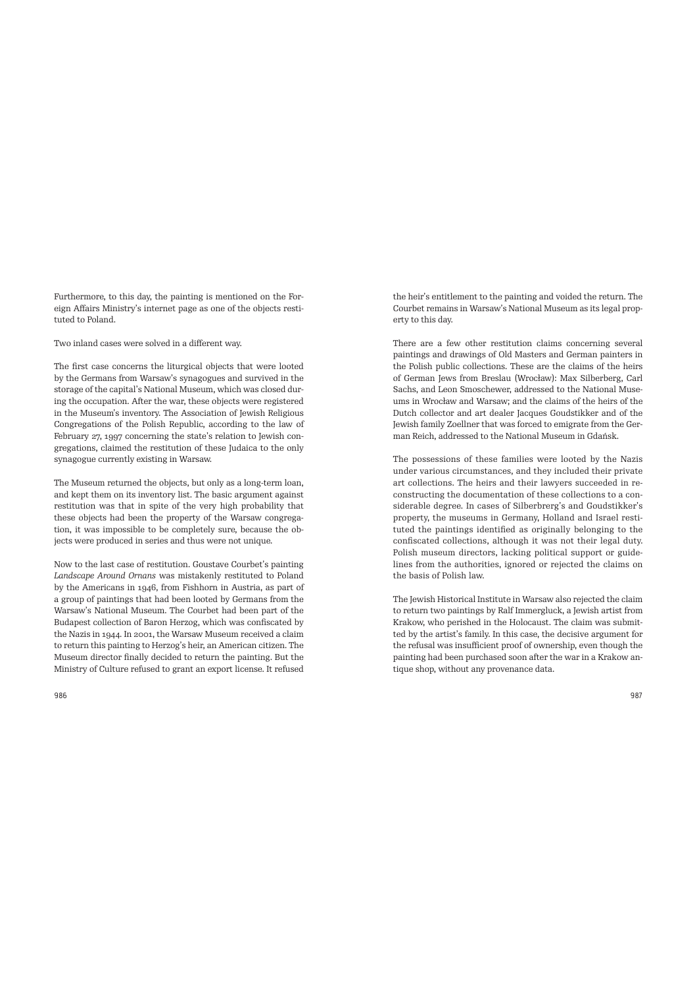Furthermore, to this day, the painting is mentioned on the Foreign Affairs Ministry's internet page as one of the objects restituted to Poland.

Two inland cases were solved in a different way.

The first case concerns the liturgical objects that were looted by the Germans from Warsaw's synagogues and survived in the storage of the capital's National Museum, which was closed during the occupation. Afer the war, these objects were registered in the Museum's inventory. The Association of Jewish Religious Congregations of the Polish Republic, according to the law of February 27, 1997 concerning the state's relation to Jewish congregations, claimed the restitution of these Judaica to the only synagogue currently existing in Warsaw.

The Museum returned the objects, but only as a long-term loan, and kept them on its inventory list. The basic argument against restitution was that in spite of the very high probability that these objects had been the property of the Warsaw congregation, it was impossible to be completely sure, because the objects were produced in series and thus were not unique.

Now to the last case of restitution. Goustave Courbet's painting *Landscape Around Ornans* was mistakenly restituted to Poland by the Americans in 1946, from Fishhorn in Austria, as part of a group of paintings that had been looted by Germans from the Warsaw's National Museum. The Courbet had been part of the Budapest collection of Baron Herzog, which was confiscated by the Nazis in 1944. In 2001, the Warsaw Museum received a claim to return this painting to Herzog's heir, an American citizen. The Museum director finally decided to return the painting. But the Ministry of Culture refused to grant an export license. It refused

the heir's entitlement to the painting and voided the return. The Courbet remains in Warsaw's National Museum as its legal property to this day.

There are a few other restitution claims concerning several paintings and drawings of Old Masters and German painters in the Polish public collections. These are the claims of the heirs of German Jews from Breslau (Wrocław): Max Silberberg, Carl Sachs, and Leon Smoschewer, addressed to the National Museums in Wrocław and Warsaw; and the claims of the heirs of the Dutch collector and art dealer Jacques Goudstikker and of the Jewish family Zoellner that was forced to emigrate from the German Reich, addressed to the National Museum in Gdańsk.

The possessions of these families were looted by the Nazis under various circumstances, and they included their private art collections. The heirs and their lawyers succeeded in reconstructing the documentation of these collections to a considerable degree. In cases of Silberbrerg's and Goudstikker's property, the museums in Germany, Holland and Israel restituted the paintings identified as originally belonging to the confiscated collections, although it was not their legal duty. Polish museum directors, lacking political support or guidelines from the authorities, ignored or rejected the claims on the basis of Polish law.

The Jewish Historical Institute in Warsaw also rejected the claim to return two paintings by Ralf Immergluck, a Jewish artist from Krakow, who perished in the Holocaust. The claim was submitted by the artist's family. In this case, the decisive argument for the refusal was insufficient proof of ownership, even though the painting had been purchased soon after the war in a Krakow antique shop, without any provenance data.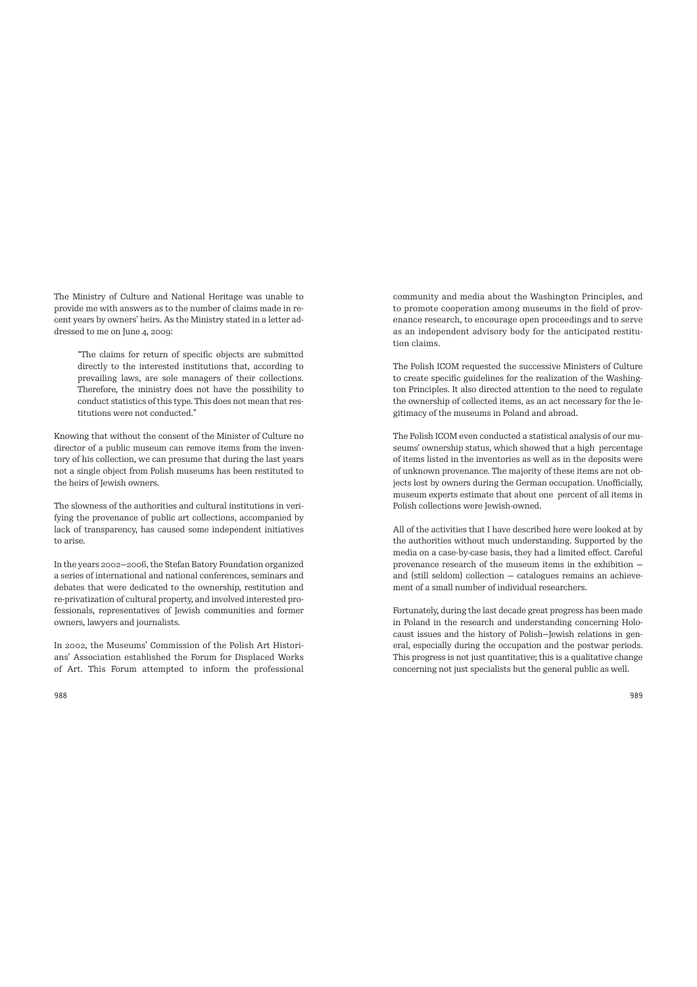The Ministry of Culture and National Heritage was unable to provide me with answers as to the number of claims made in recent years by owners' heirs. As the Ministry stated in a letter addressed to me on June 4, 2009:

"The claims for return of specific objects are submitted directly to the interested institutions that, according to prevailing laws, are sole managers of their collections. Therefore, the ministry does not have the possibility to conduct statistics of this type. This does not mean that restitutions were not conducted."

Knowing that without the consent of the Minister of Culture no director of a public museum can remove items from the inventory of his collection, we can presume that during the last years not a single object from Polish museums has been restituted to the heirs of Jewish owners.

The slowness of the authorities and cultural institutions in verifying the provenance of public art collections, accompanied by lack of transparency, has caused some independent initiatives to arise.

In the years 2002—2006, the Stefan Batory Foundation organized a series of international and national conferences, seminars and debates that were dedicated to the ownership, restitution and re-privatization of cultural property, and involved interested professionals, representatives of Jewish communities and former owners, lawyers and journalists.

In 2002, the Museums' Commission of the Polish Art Historians' Association established the Forum for Displaced Works of Art. This Forum attempted to inform the professional community and media about the Washington Principles, and to promote cooperation among museums in the field of provenance research, to encourage open proceedings and to serve as an independent advisory body for the anticipated restitution claims.

The Polish ICOM requested the successive Ministers of Culture to create specific guidelines for the realization of the Washington Principles. It also directed attention to the need to regulate the ownership of collected items, as an act necessary for the legitimacy of the museums in Poland and abroad.

The Polish ICOM even conducted a statistical analysis of our museums' ownership status, which showed that a high percentage of items listed in the inventories as well as in the deposits were of unknown provenance. The majority of these items are not objects lost by owners during the German occupation. Unofficially, museum experts estimate that about one percent of all items in Polish collections were Jewish-owned.

All of the activities that I have described here were looked at by the authorities without much understanding. Supported by the media on a case-by-case basis, they had a limited effect. Careful provenance research of the museum items in the exhibition and (still seldom) collection — catalogues remains an achievement of a small number of individual researchers.

Fortunately, during the last decade great progress has been made in Poland in the research and understanding concerning Holocaust issues and the history of Polish—Jewish relations in general, especially during the occupation and the postwar periods. This progress is not just quantitative; this is a qualitative change concerning not just specialists but the general public as well.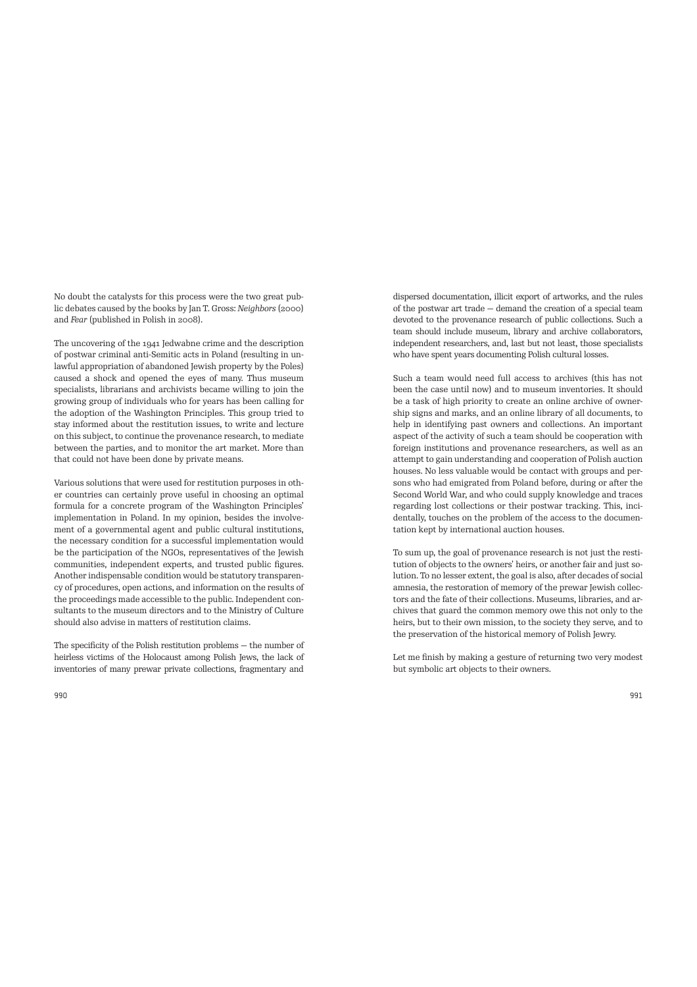No doubt the catalysts for this process were the two great public debates caused by the books by Jan T. Gross: *Neighbors* (2000) and *Fear* (published in Polish in 2008).

The uncovering of the 1941 Jedwabne crime and the description of postwar criminal anti-Semitic acts in Poland (resulting in unlawful appropriation of abandoned Jewish property by the Poles) caused a shock and opened the eyes of many. Thus museum specialists, librarians and archivists became willing to join the growing group of individuals who for years has been calling for the adoption of the Washington Principles. This group tried to stay informed about the restitution issues, to write and lecture on this subject, to continue the provenance research, to mediate between the parties, and to monitor the art market. More than that could not have been done by private means.

Various solutions that were used for restitution purposes in other countries can certainly prove useful in choosing an optimal formula for a concrete program of the Washington Principles' implementation in Poland. In my opinion, besides the involvement of a governmental agent and public cultural institutions, the necessary condition for a successful implementation would be the participation of the NGOs, representatives of the Jewish communities, independent experts, and trusted public figures. Another indispensable condition would be statutory transparency of procedures, open actions, and information on the results of the proceedings made accessible to the public. Independent consultants to the museum directors and to the Ministry of Culture should also advise in matters of restitution claims.

The specificity of the Polish restitution problems — the number of heirless victims of the Holocaust among Polish Jews, the lack of inventories of many prewar private collections, fragmentary and

dispersed documentation, illicit export of artworks, and the rules of the postwar art trade — demand the creation of a special team devoted to the provenance research of public collections. Such a team should include museum, library and archive collaborators, independent researchers, and, last but not least, those specialists who have spent years documenting Polish cultural losses.

Such a team would need full access to archives (this has not been the case until now) and to museum inventories. It should be a task of high priority to create an online archive of ownership signs and marks, and an online library of all documents, to help in identifying past owners and collections. An important aspect of the activity of such a team should be cooperation with foreign institutions and provenance researchers, as well as an attempt to gain understanding and cooperation of Polish auction houses. No less valuable would be contact with groups and persons who had emigrated from Poland before, during or afer the Second World War, and who could supply knowledge and traces regarding lost collections or their postwar tracking. This, incidentally, touches on the problem of the access to the documentation kept by international auction houses.

To sum up, the goal of provenance research is not just the restitution of objects to the owners' heirs, or another fair and just solution. To no lesser extent, the goal is also, afer decades of social amnesia, the restoration of memory of the prewar Jewish collectors and the fate of their collections. Museums, libraries, and archives that guard the common memory owe this not only to the heirs, but to their own mission, to the society they serve, and to the preservation of the historical memory of Polish Jewry.

Let me finish by making a gesture of returning two very modest but symbolic art objects to their owners.